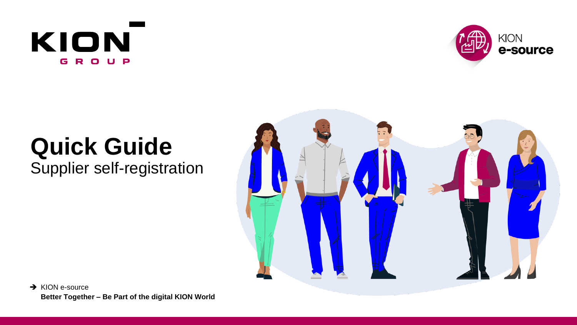



# **Quick Guide**

Supplier self-registration



**→ KION e-source Better Together – Be Part of the digital KION World**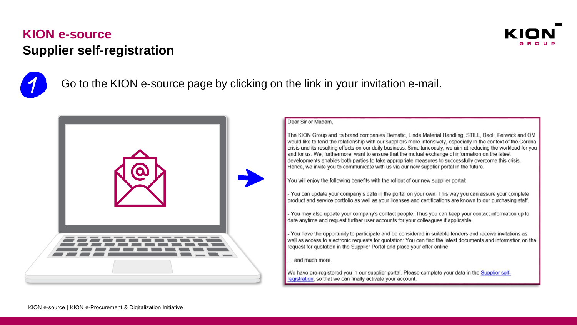



Go to the KION e-source page by clicking on the link in your invitation e-mail.



#### Dear Sir or Madam.

The KION Group and its brand companies Dematic. Linde Material Handling, STILL, Baoli, Fenwick and OM would like to tend the relationship with our suppliers more intensively, especially in the context of the Corona crisis and its resulting effects on our daily business. Simultaneously, we aim at reducing the workload for you and for us. We, furthermore, want to ensure that the mutual exchange of information on the latest developments enables both parties to take appropriate measures to successfully overcome this crisis. Hence, we invite you to communicate with us via our new supplier portal in the future.

You will enjoy the following benefits with the rollout of our new supplier portal:

- You can update your company's data in the portal on your own: This way you can assure your complete product and service portfolio as well as your licenses and certifications are known to our purchasing staff.

- You may also update your company's contact people: Thus you can keep your contact information up to date anytime and request further user accounts for your colleagues if applicable.

- You have the opportunity to participate and be considered in suitable tenders and receive invitations as well as access to electronic requests for quotation: You can find the latest documents and information on the request for quotation in the Supplier Portal and place your offer online

and much more

We have pre-registered you in our supplier portal. Please complete your data in the Supplier selfregistration, so that we can finally activate your account.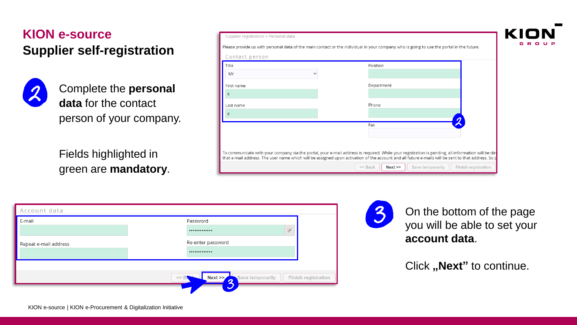

Complete the **personal data** for the contact person of your company.

Fields highlighted in green are **mandatory**.

| Supplier registration > Personal data                                                                                                                                                                                                                                                                    |                                       |                     |  |  |  |  |  |
|----------------------------------------------------------------------------------------------------------------------------------------------------------------------------------------------------------------------------------------------------------------------------------------------------------|---------------------------------------|---------------------|--|--|--|--|--|
| Please provide us with personal data of the main contact or the individual in your company who is going to use the portal in the future.                                                                                                                                                                 |                                       |                     |  |  |  |  |  |
| Contact person                                                                                                                                                                                                                                                                                           |                                       |                     |  |  |  |  |  |
| Title                                                                                                                                                                                                                                                                                                    | Position                              |                     |  |  |  |  |  |
| Mr                                                                                                                                                                                                                                                                                                       |                                       |                     |  |  |  |  |  |
| First name                                                                                                                                                                                                                                                                                               | Department                            |                     |  |  |  |  |  |
| X                                                                                                                                                                                                                                                                                                        |                                       |                     |  |  |  |  |  |
| Last name                                                                                                                                                                                                                                                                                                | Phone                                 |                     |  |  |  |  |  |
|                                                                                                                                                                                                                                                                                                          |                                       |                     |  |  |  |  |  |
|                                                                                                                                                                                                                                                                                                          | Fax                                   |                     |  |  |  |  |  |
|                                                                                                                                                                                                                                                                                                          |                                       |                     |  |  |  |  |  |
|                                                                                                                                                                                                                                                                                                          |                                       |                     |  |  |  |  |  |
| To communicate with your company via the portal, your e-mail address is required. While your registration is pending, all information will be dire<br>that e-mail address. The user name which will be assigned upon activation of the account and all future e-mails will be sent to that address. So p |                                       |                     |  |  |  |  |  |
|                                                                                                                                                                                                                                                                                                          | $<<$ Back<br>Next<br>Save temporarily | Finish registration |  |  |  |  |  |

| Account data          |                   |   |
|-----------------------|-------------------|---|
| E-mail                | Password          |   |
|                       |                   | 穸 |
| Repeat e-mail address | Re-enter password |   |
|                       |                   |   |



On the bottom of the page you will be able to set your **account data**.

Click "Next" to continue.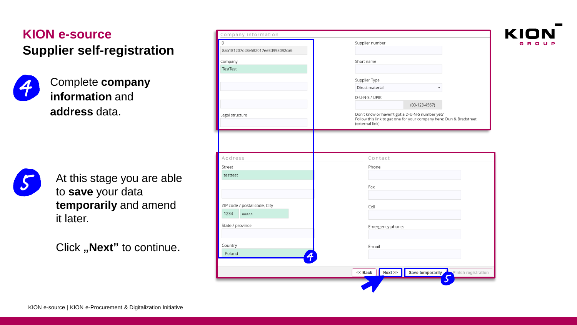Complete **company information** and **address** data.



At this stage you are able to **save** your data **temporarily** and amend it later.

Click "Next" to continue.

| ID<br>8ab181207dc8e582017ee3d998092ca6 | Supplier number                                                                                                                           |
|----------------------------------------|-------------------------------------------------------------------------------------------------------------------------------------------|
| Company                                | Short name                                                                                                                                |
| TestTest                               |                                                                                                                                           |
|                                        | Supplier Type                                                                                                                             |
|                                        | Direct material                                                                                                                           |
|                                        | D-U-N-S / UPIK                                                                                                                            |
|                                        | $(00-123-4567)$                                                                                                                           |
| Legal structure                        | Don't know or haven't got a D-U-N-S number yet?<br>Follow this link to get one for your company here: Dun & Bradstreet<br>(external link) |
|                                        |                                                                                                                                           |
|                                        |                                                                                                                                           |
|                                        |                                                                                                                                           |
| Address                                | Contact                                                                                                                                   |
| Street                                 | Phone                                                                                                                                     |
| testtest                               |                                                                                                                                           |
|                                        | Fax                                                                                                                                       |
|                                        |                                                                                                                                           |
| ZIP code / postal code, City           | Cell                                                                                                                                      |
| 1234<br>XXXXX                          |                                                                                                                                           |
| State / province                       | Emergency phone:                                                                                                                          |
| Country                                | E-mail                                                                                                                                    |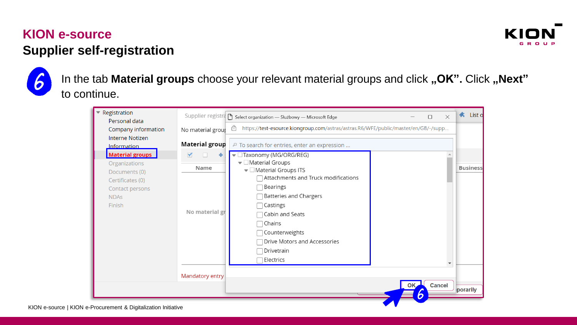



In the tab Material groups choose your relevant material groups and click "OK". Click "Next" to continue.

| Registration<br>Personal data                                                                   |                                   | Supplier registra select organization - Służbowy - Microsoft Edge<br>$\times$<br>□                                                                                                       | List o<br>ж.    |
|-------------------------------------------------------------------------------------------------|-----------------------------------|------------------------------------------------------------------------------------------------------------------------------------------------------------------------------------------|-----------------|
| Company information                                                                             | No material group                 | https://test-esource.kiongroup.com/astras/astras.R6/WFE/public/master/en/GB/-/supp<br>₿                                                                                                  |                 |
| <b>Interne Notizen</b><br>Information                                                           | <b>Material group</b>             | <sup>D</sup> To search for entries, enter an expression                                                                                                                                  |                 |
| <b>Material groups</b><br>Organizations<br>Documents (0)<br>Certificates (0)<br>Contact persons | $\blacktriangledown$<br>٠<br>Name | $\blacktriangledown$ $\Box$ Taxonomy (MG/ORG/REG)<br>$\blacktriangledown$ Material Groups<br>$\blacktriangledown$ Material Groups ITS<br>Attachments and Truck modifications<br>Bearings | <b>Business</b> |
| <b>NDAs</b><br>Finish                                                                           | No material gr                    | <b>Batteries and Chargers</b><br>Castings<br>Cabin and Seats<br>Chains<br>Counterweights<br>Drive Motors and Accessories                                                                 |                 |
|                                                                                                 |                                   | Drivetrain<br>$\exists$ Electrics                                                                                                                                                        |                 |
|                                                                                                 | Mandatory entry                   |                                                                                                                                                                                          |                 |
|                                                                                                 |                                   | <b>Cancel</b><br>OK.<br>h                                                                                                                                                                | porarily        |
| <b>Drocuromont &amp; Digitalization Initiative</b>                                              |                                   |                                                                                                                                                                                          |                 |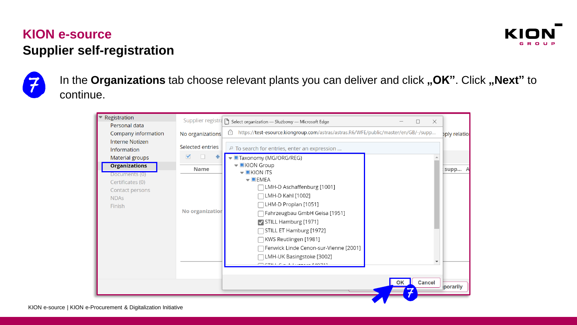



In the **Organizations** tab choose relevant plants you can deliver and click **"OK**". Click **"Next**" to continue.

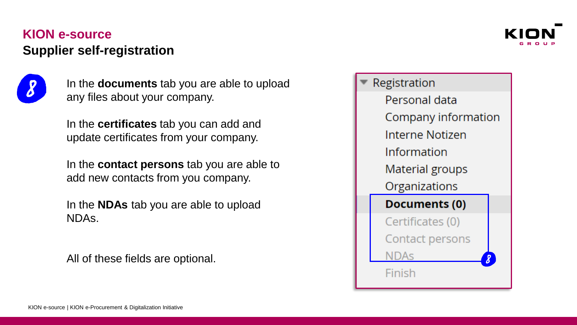

In the **documents** tab you are able to upload any files about your company.

In the **certificates** tab you can add and update certificates from your company.

In the **contact persons** tab you are able to add new contacts from you company.

In the **NDAs** tab you are able to upload NDAs.

All of these fields are optional.



Registration Personal data Company information Interne Notizen Information Material groups Organizations Documents (0) Certificates (0) Contact persons **NDAS** Finish